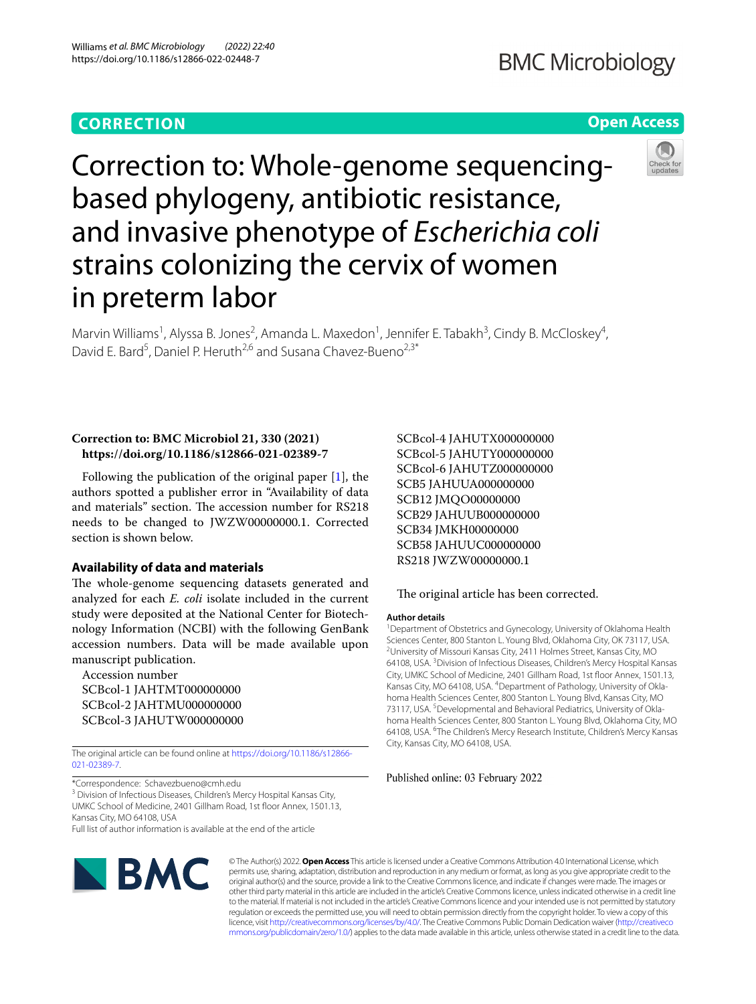# **CORRECTION**

# **BMC Microbiology**

# **Open Access**



Correction to: Whole-genome sequencingbased phylogeny, antibiotic resistance, and invasive phenotype of *Escherichia coli* strains colonizing the cervix of women in preterm labor

Marvin Williams<sup>1</sup>, Alyssa B. Jones<sup>2</sup>, Amanda L. Maxedon<sup>1</sup>, Jennifer E. Tabakh<sup>3</sup>, Cindy B. McCloskey<sup>4</sup>, David E. Bard<sup>5</sup>, Daniel P. Heruth<sup>2,6</sup> and Susana Chavez-Bueno<sup>2,3\*</sup>

# **Correction to: BMC Microbiol 21, 330 (2021) https://doi.org/10.1186/s12866-021-02389-7**

Following the publication of the original paper [\[1](#page-1-0)], the authors spotted a publisher error in "Availability of data and materials" section. The accession number for RS218 needs to be changed to JWZW00000000.1. Corrected section is shown below.

# **Availability of data and materials**

The whole-genome sequencing datasets generated and analyzed for each *E. coli* isolate included in the current study were deposited at the National Center for Biotechnology Information (NCBI) with the following GenBank accession numbers. Data will be made available upon manuscript publication.

Accession number SCBcol-1 JAHTMT000000000 SCBcol-2 JAHTMU000000000 SCBcol-3 JAHUTW000000000

The original article can be found online at [https://doi.org/10.1186/s12866-](https://doi.org/10.1186/s12866-021-02389-7) [021-02389-7](https://doi.org/10.1186/s12866-021-02389-7).

\*Correspondence: Schavezbueno@cmh.edu

<sup>3</sup> Division of Infectious Diseases, Children's Mercy Hospital Kansas City, UMKC School of Medicine, 2401 Gillham Road, 1st floor Annex, 1501.13, Kansas City, MO 64108, USA

Full list of author information is available at the end of the article



© The Author(s) 2022. **Open Access** This article is licensed under a Creative Commons Attribution 4.0 International License, which permits use, sharing, adaptation, distribution and reproduction in any medium or format, as long as you give appropriate credit to the original author(s) and the source, provide a link to the Creative Commons licence, and indicate if changes were made. The images or other third party material in this article are included in the article's Creative Commons licence, unless indicated otherwise in a credit line to the material. If material is not included in the article's Creative Commons licence and your intended use is not permitted by statutory regulation or exceeds the permitted use, you will need to obtain permission directly from the copyright holder. To view a copy of this licence, visit [http://creativecommons.org/licenses/by/4.0/.](http://creativecommons.org/licenses/by/4.0/) The Creative Commons Public Domain Dedication waiver ([http://creativeco](http://creativecommons.org/publicdomain/zero/1.0/) [mmons.org/publicdomain/zero/1.0/](http://creativecommons.org/publicdomain/zero/1.0/)) applies to the data made available in this article, unless otherwise stated in a credit line to the data.

SCBcol-4 JAHUTX000000000 SCBcol-5 JAHUTY000000000 SCBcol-6 JAHUTZ000000000 SCB5 JAHUUA000000000 SCB12 JMQO00000000 SCB29 JAHUUB000000000 SCB34 JMKH00000000 SCB58 JAHUUC000000000 RS218 JWZW00000000.1

## The original article has been corrected.

#### **Author details**

<sup>1</sup> Department of Obstetrics and Gynecology, University of Oklahoma Health Sciences Center, 800 Stanton L. Young Blvd, Oklahoma City, OK 73117, USA. <sup>2</sup>University of Missouri Kansas City, 2411 Holmes Street, Kansas City, MO 64108, USA.<sup>3</sup> Division of Infectious Diseases, Children's Mercy Hospital Kansas City, UMKC School of Medicine, 2401 Gillham Road, 1st floor Annex, 1501.13, Kansas City, MO 64108, USA. <sup>4</sup> Department of Pathology, University of Oklahoma Health Sciences Center, 800 Stanton L. Young Blvd, Kansas City, MO 73117, USA.<sup>5</sup> Developmental and Behavioral Pediatrics, University of Oklahoma Health Sciences Center, 800 Stanton L. Young Blvd, Oklahoma City, MO 64108, USA. <sup>6</sup>The Children's Mercy Research Institute, Children's Mercy Kansas City, Kansas City, MO 64108, USA.

Published online: 03 February 2022